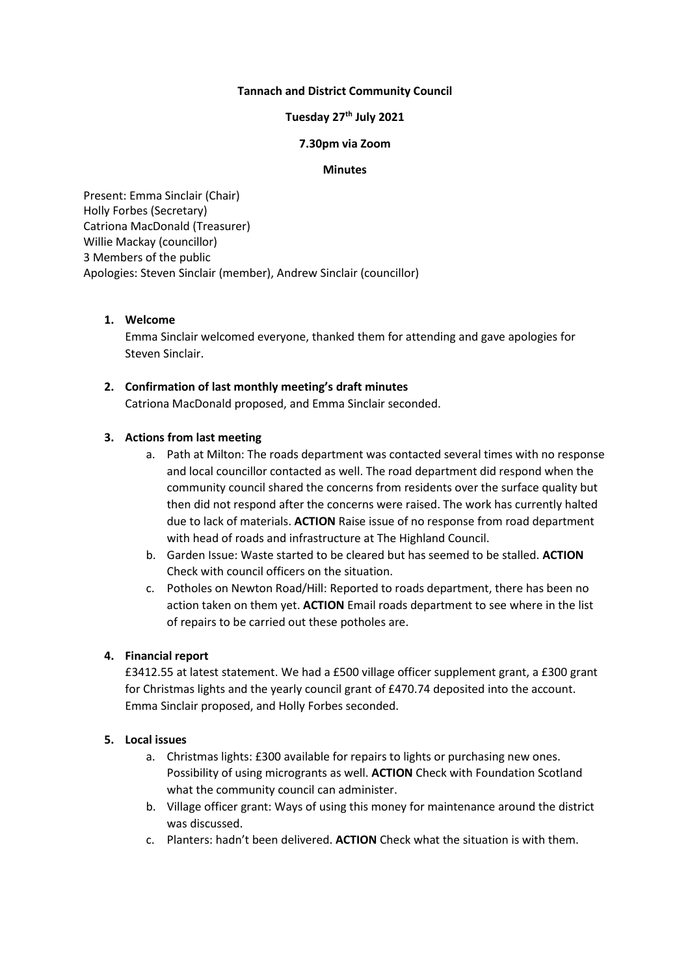### **Tannach and District Community Council**

# **Tuesday 27 th July 2021**

### **7.30pm via Zoom**

#### **Minutes**

Present: Emma Sinclair (Chair) Holly Forbes (Secretary) Catriona MacDonald (Treasurer) Willie Mackay (councillor) 3 Members of the public Apologies: Steven Sinclair (member), Andrew Sinclair (councillor)

### **1. Welcome**

Emma Sinclair welcomed everyone, thanked them for attending and gave apologies for Steven Sinclair.

## **2. Confirmation of last monthly meeting's draft minutes**

Catriona MacDonald proposed, and Emma Sinclair seconded.

### **3. Actions from last meeting**

- a. Path at Milton: The roads department was contacted several times with no response and local councillor contacted as well. The road department did respond when the community council shared the concerns from residents over the surface quality but then did not respond after the concerns were raised. The work has currently halted due to lack of materials. **ACTION** Raise issue of no response from road department with head of roads and infrastructure at The Highland Council.
- b. Garden Issue: Waste started to be cleared but has seemed to be stalled. **ACTION** Check with council officers on the situation.
- c. Potholes on Newton Road/Hill: Reported to roads department, there has been no action taken on them yet. **ACTION** Email roads department to see where in the list of repairs to be carried out these potholes are.

## **4. Financial report**

£3412.55 at latest statement. We had a £500 village officer supplement grant, a £300 grant for Christmas lights and the yearly council grant of £470.74 deposited into the account. Emma Sinclair proposed, and Holly Forbes seconded.

# **5. Local issues**

- a. Christmas lights: £300 available for repairs to lights or purchasing new ones. Possibility of using microgrants as well. **ACTION** Check with Foundation Scotland what the community council can administer.
- b. Village officer grant: Ways of using this money for maintenance around the district was discussed.
- c. Planters: hadn't been delivered. **ACTION** Check what the situation is with them.